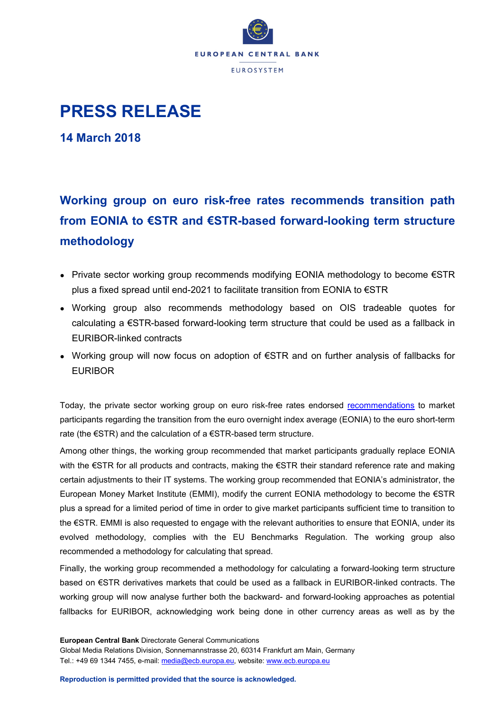

## **PRESS RELEASE**

**14 March 2018**

## **Working group on euro risk-free rates recommends transition path from EONIA to €STR and €STR-based forward-looking term structure methodology**

- Private sector working group recommends modifying EONIA methodology to become  $\epsilon$ STR plus a fixed spread until end-2021 to facilitate transition from EONIA to €STR
- Working group also recommends methodology based on OIS tradeable quotes for calculating a €STR-based forward-looking term structure that could be used as a fallback in EURIBOR-linked contracts
- Working group will now focus on adoption of €STR and on further analysis of fallbacks for EURIBOR

Today, the private sector working group on euro risk-free rates endorsed [recommendations](https://www.ecb.europa.eu/pub/pdf/annex/ecb.sp190314_annex_recommendation.en.pdf) to market participants regarding the transition from the euro overnight index average (EONIA) to the euro short-term rate (the €STR) and the calculation of a €STR-based term structure.

Among other things, the working group recommended that market participants gradually replace EONIA with the €STR for all products and contracts, making the €STR their standard reference rate and making certain adjustments to their IT systems. The working group recommended that EONIA's administrator, the European Money Market Institute (EMMI), modify the current EONIA methodology to become the €STR plus a spread for a limited period of time in order to give market participants sufficient time to transition to the €STR. EMMI is also requested to engage with the relevant authorities to ensure that EONIA, under its evolved methodology, complies with the EU Benchmarks Regulation. The working group also recommended a methodology for calculating that spread.

Finally, the working group recommended a methodology for calculating a forward-looking term structure based on €STR derivatives markets that could be used as a fallback in EURIBOR-linked contracts. The working group will now analyse further both the backward- and forward-looking approaches as potential fallbacks for EURIBOR, acknowledging work being done in other currency areas as well as by the

**European Central Bank** Directorate General Communications

Global Media Relations Division, Sonnemannstrasse 20, 60314 Frankfurt am Main, Germany Tel.: +49 69 1344 7455, e-mail: [media@ecb.europa.eu,](mailto:media@ecb.europa.eu) website[: www.ecb.europa.eu](http://www.ecb.europa.eu/)